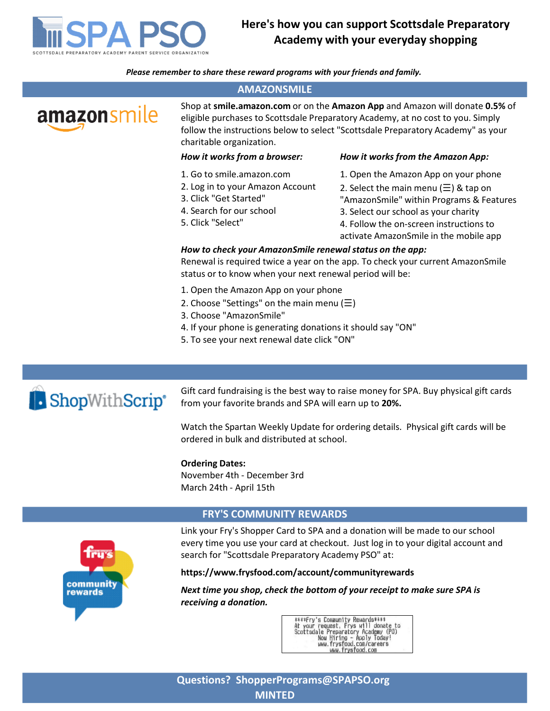

# Here's how you can support Scottsdale Preparatory Academy with your everyday shopping

Please remember to share these reward programs with your friends and family.

#### AMAZONSMILE





from your favorite brands and SPA will earn up to 20%.

Watch the Spartan Weekly Update for ordering details. Physical gift cards will be ordered in bulk and distributed at school.

#### Ordering Dates:

#### FRY'S COMMUNITY REWARDS



every time you use your card at checkout. Just log in to your digital account and search for "Scottsdale Preparatory Academy PSO" at:

#### https://www.frysfood.com/account/communityrewards

Next time you shop, check the bottom of your receipt to make sure SPA is receiving a donation.

> \*\*\*\*Fry's Community Rewards\*\*\*\*<br>At your request, Frys will donate to<br>Scottsdale Preparatory Academy (PO)<br>Now Hiring - Apply Today!<br>WWW.frysfood.com/careers<br>www.frysfood.com/careers to